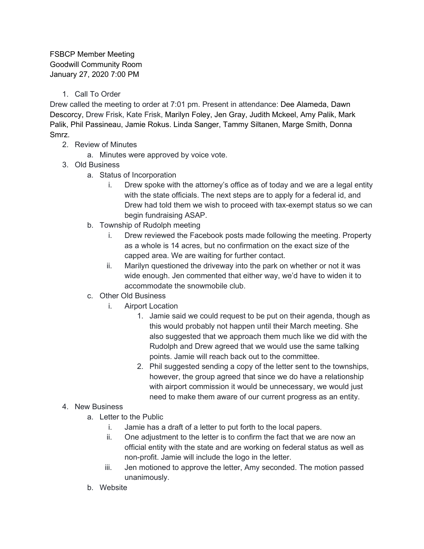FSBCP Member Meeting Goodwill Community Room January 27, 2020 7:00 PM

1. Call To Order

Drew called the meeting to order at 7:01 pm. Present in attendance: Dee Alameda, Dawn Descorcy, Drew Frisk, Kate Frisk, Marilyn Foley, Jen Gray, Judith Mckeel, Amy Palik, Mark Palik, Phil Passineau, Jamie Rokus. Linda Sanger, Tammy Siltanen, Marge Smith, Donna Smrz.

- 2. Review of Minutes
	- a. Minutes were approved by voice vote.
- 3. Old Business
	- a. Status of Incorporation
		- i. Drew spoke with the attorney's office as of today and we are a legal entity with the state officials. The next steps are to apply for a federal id, and Drew had told them we wish to proceed with tax-exempt status so we can begin fundraising ASAP.
	- b. Township of Rudolph meeting
		- i. Drew reviewed the Facebook posts made following the meeting. Property as a whole is 14 acres, but no confirmation on the exact size of the capped area. We are waiting for further contact.
		- ii. Marilyn questioned the driveway into the park on whether or not it was wide enough. Jen commented that either way, we'd have to widen it to accommodate the snowmobile club.
	- c. Other Old Business
		- i. Airport Location
			- 1. Jamie said we could request to be put on their agenda, though as this would probably not happen until their March meeting. She also suggested that we approach them much like we did with the Rudolph and Drew agreed that we would use the same talking points. Jamie will reach back out to the committee.
			- 2. Phil suggested sending a copy of the letter sent to the townships, however, the group agreed that since we do have a relationship with airport commission it would be unnecessary, we would just need to make them aware of our current progress as an entity.
- 4. New Business
	- a. Letter to the Public
		- i. Jamie has a draft of a letter to put forth to the local papers.
		- ii. One adjustment to the letter is to confirm the fact that we are now an official entity with the state and are working on federal status as well as non-profit. Jamie will include the logo in the letter.
		- iii. Jen motioned to approve the letter, Amy seconded. The motion passed unanimously.
	- b. Website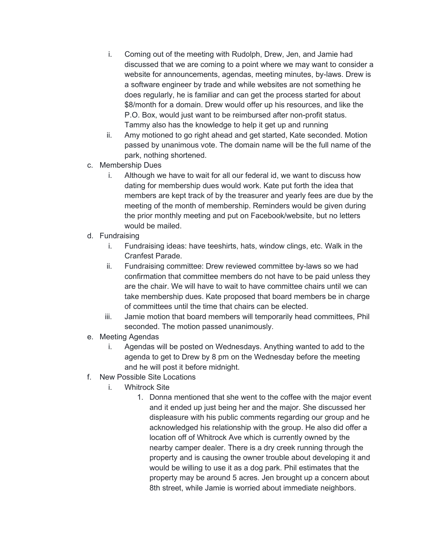- i. Coming out of the meeting with Rudolph, Drew, Jen, and Jamie had discussed that we are coming to a point where we may want to consider a website for announcements, agendas, meeting minutes, by-laws. Drew is a software engineer by trade and while websites are not something he does regularly, he is familiar and can get the process started for about \$8/month for a domain. Drew would offer up his resources, and like the P.O. Box, would just want to be reimbursed after non-profit status. Tammy also has the knowledge to help it get up and running
- ii. Amy motioned to go right ahead and get started, Kate seconded. Motion passed by unanimous vote. The domain name will be the full name of the park, nothing shortened.
- c. Membership Dues
	- i. Although we have to wait for all our federal id, we want to discuss how dating for membership dues would work. Kate put forth the idea that members are kept track of by the treasurer and yearly fees are due by the meeting of the month of membership. Reminders would be given during the prior monthly meeting and put on Facebook/website, but no letters would be mailed.
- d. Fundraising
	- i. Fundraising ideas: have teeshirts, hats, window clings, etc. Walk in the Cranfest Parade.
	- ii. Fundraising committee: Drew reviewed committee by-laws so we had confirmation that committee members do not have to be paid unless they are the chair. We will have to wait to have committee chairs until we can take membership dues. Kate proposed that board members be in charge of committees until the time that chairs can be elected.
	- iii. Jamie motion that board members will temporarily head committees, Phil seconded. The motion passed unanimously.
- e. Meeting Agendas
	- i. Agendas will be posted on Wednesdays. Anything wanted to add to the agenda to get to Drew by 8 pm on the Wednesday before the meeting and he will post it before midnight.
- f. New Possible Site Locations
	- i. Whitrock Site
		- 1. Donna mentioned that she went to the coffee with the major event and it ended up just being her and the major. She discussed her displeasure with his public comments regarding our group and he acknowledged his relationship with the group. He also did offer a location off of Whitrock Ave which is currently owned by the nearby camper dealer. There is a dry creek running through the property and is causing the owner trouble about developing it and would be willing to use it as a dog park. Phil estimates that the property may be around 5 acres. Jen brought up a concern about 8th street, while Jamie is worried about immediate neighbors.